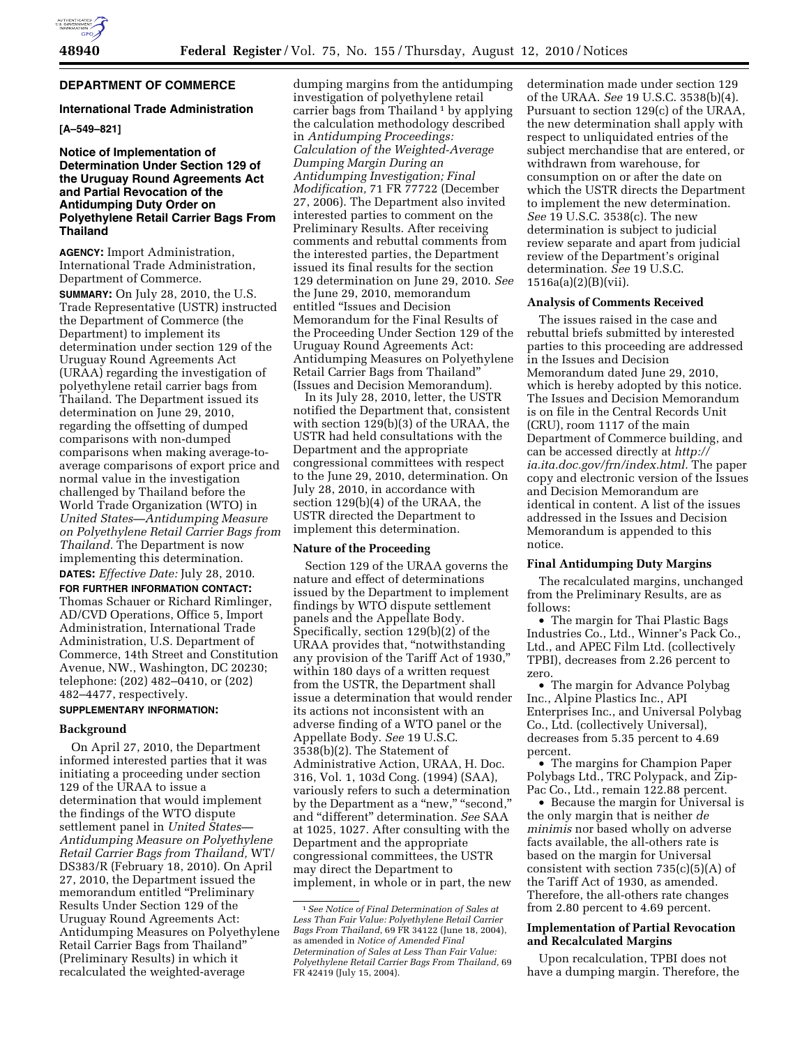# **DEPARTMENT OF COMMERCE**

### **International Trade Administration**

# **[A–549–821]**

# **Notice of Implementation of Determination Under Section 129 of the Uruguay Round Agreements Act and Partial Revocation of the Antidumping Duty Order on Polyethylene Retail Carrier Bags From Thailand**

**AGENCY:** Import Administration, International Trade Administration, Department of Commerce.

**SUMMARY:** On July 28, 2010, the U.S. Trade Representative (USTR) instructed the Department of Commerce (the Department) to implement its determination under section 129 of the Uruguay Round Agreements Act (URAA) regarding the investigation of polyethylene retail carrier bags from Thailand. The Department issued its determination on June 29, 2010, regarding the offsetting of dumped comparisons with non-dumped comparisons when making average-toaverage comparisons of export price and normal value in the investigation challenged by Thailand before the World Trade Organization (WTO) in *United States—Antidumping Measure on Polyethylene Retail Carrier Bags from Thailand.* The Department is now implementing this determination.

**DATES:** *Effective Date:* July 28, 2010.

**FOR FURTHER INFORMATION CONTACT:**  Thomas Schauer or Richard Rimlinger, AD/CVD Operations, Office 5, Import Administration, International Trade Administration, U.S. Department of Commerce, 14th Street and Constitution Avenue, NW., Washington, DC 20230; telephone: (202) 482–0410, or (202) 482–4477, respectively.

# **SUPPLEMENTARY INFORMATION:**

#### **Background**

On April 27, 2010, the Department informed interested parties that it was initiating a proceeding under section 129 of the URAA to issue a determination that would implement the findings of the WTO dispute settlement panel in *United States— Antidumping Measure on Polyethylene Retail Carrier Bags from Thailand,* WT/ DS383/R (February 18, 2010). On April 27, 2010, the Department issued the memorandum entitled ''Preliminary Results Under Section 129 of the Uruguay Round Agreements Act: Antidumping Measures on Polyethylene Retail Carrier Bags from Thailand'' (Preliminary Results) in which it recalculated the weighted-average

dumping margins from the antidumping investigation of polyethylene retail carrier bags from Thailand 1 by applying the calculation methodology described in *Antidumping Proceedings: Calculation of the Weighted-Average Dumping Margin During an Antidumping Investigation; Final Modification,* 71 FR 77722 (December 27, 2006). The Department also invited interested parties to comment on the Preliminary Results. After receiving comments and rebuttal comments from the interested parties, the Department issued its final results for the section 129 determination on June 29, 2010. *See*  the June 29, 2010, memorandum entitled ''Issues and Decision Memorandum for the Final Results of the Proceeding Under Section 129 of the Uruguay Round Agreements Act: Antidumping Measures on Polyethylene Retail Carrier Bags from Thailand'' (Issues and Decision Memorandum).

In its July 28, 2010, letter, the USTR notified the Department that, consistent with section 129(b)(3) of the URAA, the USTR had held consultations with the Department and the appropriate congressional committees with respect to the June 29, 2010, determination. On July 28, 2010, in accordance with section 129(b)(4) of the URAA, the USTR directed the Department to implement this determination.

#### **Nature of the Proceeding**

Section 129 of the URAA governs the nature and effect of determinations issued by the Department to implement findings by WTO dispute settlement panels and the Appellate Body. Specifically, section 129(b)(2) of the URAA provides that, ''notwithstanding any provision of the Tariff Act of 1930,'' within 180 days of a written request from the USTR, the Department shall issue a determination that would render its actions not inconsistent with an adverse finding of a WTO panel or the Appellate Body. *See* 19 U.S.C. 3538(b)(2). The Statement of Administrative Action, URAA, H. Doc. 316, Vol. 1, 103d Cong. (1994) (SAA), variously refers to such a determination by the Department as a "new," "second," and ''different'' determination. *See* SAA at 1025, 1027. After consulting with the Department and the appropriate congressional committees, the USTR may direct the Department to implement, in whole or in part, the new

determination made under section 129 of the URAA. *See* 19 U.S.C. 3538(b)(4). Pursuant to section 129(c) of the URAA, the new determination shall apply with respect to unliquidated entries of the subject merchandise that are entered, or withdrawn from warehouse, for consumption on or after the date on which the USTR directs the Department to implement the new determination. *See* 19 U.S.C. 3538(c). The new determination is subject to judicial review separate and apart from judicial review of the Department's original determination. *See* 19 U.S.C. 1516a(a)(2)(B)(vii).

#### **Analysis of Comments Received**

The issues raised in the case and rebuttal briefs submitted by interested parties to this proceeding are addressed in the Issues and Decision Memorandum dated June 29, 2010, which is hereby adopted by this notice. The Issues and Decision Memorandum is on file in the Central Records Unit (CRU), room 1117 of the main Department of Commerce building, and can be accessed directly at *[http://](http://ia.ita.doc.gov/frn/index.html) [ia.ita.doc.gov/frn/index.html.](http://ia.ita.doc.gov/frn/index.html)* The paper copy and electronic version of the Issues and Decision Memorandum are identical in content. A list of the issues addressed in the Issues and Decision Memorandum is appended to this notice.

### **Final Antidumping Duty Margins**

The recalculated margins, unchanged from the Preliminary Results, are as follows:

• The margin for Thai Plastic Bags Industries Co., Ltd., Winner's Pack Co., Ltd., and APEC Film Ltd. (collectively TPBI), decreases from 2.26 percent to zero.

• The margin for Advance Polybag Inc., Alpine Plastics Inc., API Enterprises Inc., and Universal Polybag Co., Ltd. (collectively Universal), decreases from 5.35 percent to 4.69 percent.

• The margins for Champion Paper Polybags Ltd., TRC Polypack, and Zip-Pac Co., Ltd., remain 122.88 percent.

• Because the margin for Universal is the only margin that is neither *de minimis* nor based wholly on adverse facts available, the all-others rate is based on the margin for Universal consistent with section 735(c)(5)(A) of the Tariff Act of 1930, as amended. Therefore, the all-others rate changes from 2.80 percent to 4.69 percent.

# **Implementation of Partial Revocation and Recalculated Margins**

Upon recalculation, TPBI does not have a dumping margin. Therefore, the

<sup>1</sup>*See Notice of Final Determination of Sales at Less Than Fair Value: Polyethylene Retail Carrier Bags From Thailand,* 69 FR 34122 (June 18, 2004), as amended in *Notice of Amended Final Determination of Sales at Less Than Fair Value: Polyethylene Retail Carrier Bags From Thailand,* 69 FR 42419 (July 15, 2004).